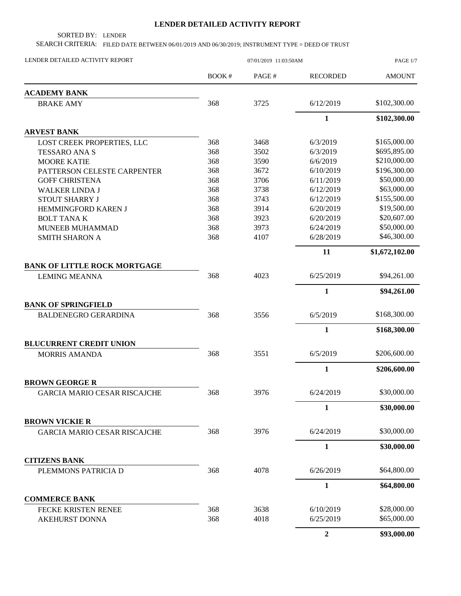## **LENDER DETAILED ACTIVITY REPORT**

SORTED BY: LENDER

SEARCH CRITERIA: FILED DATE BETWEEN 06/01/2019 AND 06/30/2019; INSTRUMENT TYPE = DEED OF TRUST

| LENDER DETAILED ACTIVITY REPORT     | 07/01/2019 11:03:50AM |       |                 | PAGE 1/7       |  |
|-------------------------------------|-----------------------|-------|-----------------|----------------|--|
|                                     | BOOK#                 | PAGE# | <b>RECORDED</b> | <b>AMOUNT</b>  |  |
| <b>ACADEMY BANK</b>                 |                       |       |                 |                |  |
| <b>BRAKE AMY</b>                    | 368                   | 3725  | 6/12/2019       | \$102,300.00   |  |
|                                     |                       |       | $\mathbf{1}$    | \$102,300.00   |  |
| <b>ARVEST BANK</b>                  |                       |       |                 |                |  |
| LOST CREEK PROPERTIES, LLC          | 368                   | 3468  | 6/3/2019        | \$165,000.00   |  |
| <b>TESSARO ANA S</b>                | 368                   | 3502  | 6/3/2019        | \$695,895.00   |  |
| <b>MOORE KATIE</b>                  | 368                   | 3590  | 6/6/2019        | \$210,000.00   |  |
| PATTERSON CELESTE CARPENTER         | 368                   | 3672  | 6/10/2019       | \$196,300.00   |  |
| <b>GOFF CHRISTENA</b>               | 368                   | 3706  | 6/11/2019       | \$50,000.00    |  |
| <b>WALKER LINDA J</b>               | 368                   | 3738  | 6/12/2019       | \$63,000.00    |  |
| STOUT SHARRY J                      | 368                   | 3743  | 6/12/2019       | \$155,500.00   |  |
| HEMMINGFORD KAREN J                 | 368                   | 3914  | 6/20/2019       | \$19,500.00    |  |
| <b>BOLT TANAK</b>                   | 368                   | 3923  | 6/20/2019       | \$20,607.00    |  |
| MUNEEB MUHAMMAD                     | 368                   | 3973  | 6/24/2019       | \$50,000.00    |  |
| <b>SMITH SHARON A</b>               | 368                   | 4107  | 6/28/2019       | \$46,300.00    |  |
|                                     |                       |       | 11              | \$1,672,102.00 |  |
| <b>BANK OF LITTLE ROCK MORTGAGE</b> |                       |       |                 |                |  |
| <b>LEMING MEANNA</b>                | 368                   | 4023  | 6/25/2019       | \$94,261.00    |  |
|                                     |                       |       | $\mathbf{1}$    | \$94,261.00    |  |
| <b>BANK OF SPRINGFIELD</b>          |                       |       |                 |                |  |
| <b>BALDENEGRO GERARDINA</b>         | 368                   | 3556  | 6/5/2019        | \$168,300.00   |  |
|                                     |                       |       | $\mathbf{1}$    | \$168,300.00   |  |
| <b>BLUCURRENT CREDIT UNION</b>      |                       |       |                 |                |  |
| <b>MORRIS AMANDA</b>                | 368                   | 3551  | 6/5/2019        | \$206,600.00   |  |
|                                     |                       |       | $\mathbf{1}$    | \$206,600.00   |  |
| <b>BROWN GEORGE R</b>               |                       |       |                 |                |  |
| GARCIA MARIO CESAR RISCAJCHE        | 368                   | 3976  | 6/24/2019       | \$30,000.00    |  |
|                                     |                       |       | $\mathbf{1}$    | \$30,000.00    |  |
| <b>BROWN VICKIE R</b>               |                       |       |                 |                |  |
| <b>GARCIA MARIO CESAR RISCAJCHE</b> | 368                   | 3976  | 6/24/2019       | \$30,000.00    |  |
|                                     |                       |       | $\mathbf{1}$    | \$30,000.00    |  |
| <b>CITIZENS BANK</b>                |                       |       |                 |                |  |
| PLEMMONS PATRICIA D                 | 368                   | 4078  | 6/26/2019       | \$64,800.00    |  |
|                                     |                       |       | $\mathbf{1}$    | \$64,800.00    |  |
| <b>COMMERCE BANK</b>                |                       |       |                 |                |  |
| FECKE KRISTEN RENEE                 | 368                   | 3638  | 6/10/2019       | \$28,000.00    |  |
| AKEHURST DONNA                      | 368                   | 4018  | 6/25/2019       | \$65,000.00    |  |
|                                     |                       |       | $\overline{2}$  | \$93,000.00    |  |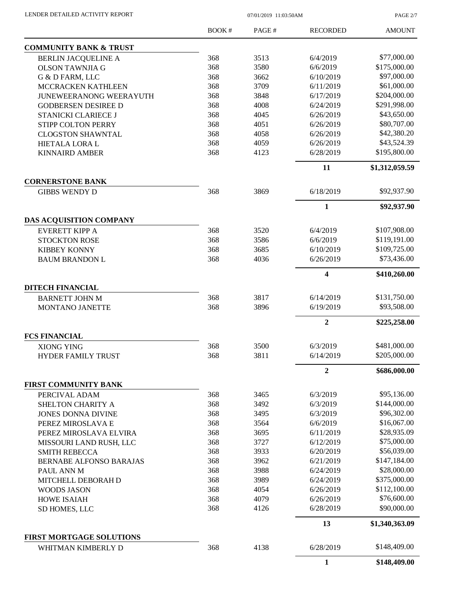| LENDER DETAILED ACTIVITY REPORT |  |
|---------------------------------|--|
|                                 |  |

07/01/2019 11:03:50AM

PAGE 2/7

|                                                 | BOOK# | PAGE# | <b>RECORDED</b> | <b>AMOUNT</b>  |
|-------------------------------------------------|-------|-------|-----------------|----------------|
| <b>COMMUNITY BANK &amp; TRUST</b>               |       |       |                 |                |
| <b>BERLIN JACQUELINE A</b>                      | 368   | 3513  | 6/4/2019        | \$77,000.00    |
| <b>OLSON TAWNJIA G</b>                          | 368   | 3580  | 6/6/2019        | \$175,000.00   |
| G & D FARM, LLC                                 | 368   | 3662  | 6/10/2019       | \$97,000.00    |
| MCCRACKEN KATHLEEN                              | 368   | 3709  | 6/11/2019       | \$61,000.00    |
| <b>JUNEWEERANONG WEERAYUTH</b>                  | 368   | 3848  | 6/17/2019       | \$204,000.00   |
| <b>GODBERSEN DESIREE D</b>                      | 368   | 4008  | 6/24/2019       | \$291,998.00   |
| STANICKI CLARIECE J                             | 368   | 4045  | 6/26/2019       | \$43,650.00    |
| STIPP COLTON PERRY                              | 368   | 4051  | 6/26/2019       | \$80,707.00    |
| <b>CLOGSTON SHAWNTAL</b>                        | 368   | 4058  | 6/26/2019       | \$42,380.20    |
| HIETALA LORA L                                  | 368   | 4059  | 6/26/2019       | \$43,524.39    |
| <b>KINNAIRD AMBER</b>                           | 368   | 4123  | 6/28/2019       | \$195,800.00   |
|                                                 |       |       | 11              | \$1,312,059.59 |
| <b>CORNERSTONE BANK</b><br><b>GIBBS WENDY D</b> | 368   | 3869  | 6/18/2019       | \$92,937.90    |
|                                                 |       |       | $\mathbf{1}$    | \$92,937.90    |
| DAS ACQUISITION COMPANY                         |       |       |                 |                |
| <b>EVERETT KIPP A</b>                           | 368   | 3520  | 6/4/2019        | \$107,908.00   |
| <b>STOCKTON ROSE</b>                            | 368   | 3586  | 6/6/2019        | \$119,191.00   |
| <b>KIBBEY KONNY</b>                             | 368   | 3685  | 6/10/2019       | \$109,725.00   |
| <b>BAUM BRANDON L</b>                           | 368   | 4036  | 6/26/2019       | \$73,436.00    |
|                                                 |       |       | 4               | \$410,260.00   |
| <b>DITECH FINANCIAL</b>                         |       |       |                 |                |
| <b>BARNETT JOHN M</b>                           | 368   | 3817  | 6/14/2019       | \$131,750.00   |
| MONTANO JANETTE                                 | 368   | 3896  | 6/19/2019       | \$93,508.00    |
|                                                 |       |       | $\overline{2}$  | \$225,258.00   |
| <b>FCS FINANCIAL</b>                            |       |       |                 |                |
| XIONG YING                                      | 368   | 3500  | 6/3/2019        | \$481,000.00   |
| <b>HYDER FAMILY TRUST</b>                       | 368   | 3811  | 6/14/2019       | \$205,000.00   |
|                                                 |       |       | $\mathbf{2}$    | \$686,000.00   |
| FIRST COMMUNITY BANK<br>PERCIVAL ADAM           | 368   | 3465  | 6/3/2019        | \$95,136.00    |
| SHELTON CHARITY A                               | 368   | 3492  | 6/3/2019        | \$144,000.00   |
| <b>JONES DONNA DIVINE</b>                       | 368   | 3495  | 6/3/2019        | \$96,302.00    |
| PEREZ MIROSLAVA E                               | 368   | 3564  | 6/6/2019        | \$16,067.00    |
| PEREZ MIROSLAVA ELVIRA                          | 368   | 3695  | 6/11/2019       | \$28,935.09    |
| MISSOURI LAND RUSH, LLC                         | 368   | 3727  | 6/12/2019       | \$75,000.00    |
| <b>SMITH REBECCA</b>                            | 368   | 3933  | 6/20/2019       | \$56,039.00    |
| BERNABE ALFONSO BARAJAS                         | 368   | 3962  | 6/21/2019       | \$147,184.00   |
| PAUL ANN M                                      | 368   | 3988  | 6/24/2019       | \$28,000.00    |
| MITCHELL DEBORAH D                              | 368   | 3989  | 6/24/2019       | \$375,000.00   |
| <b>WOODS JASON</b>                              | 368   | 4054  | 6/26/2019       | \$112,100.00   |
| <b>HOWE ISAIAH</b>                              | 368   | 4079  | 6/26/2019       | \$76,600.00    |
| SD HOMES, LLC                                   | 368   | 4126  | 6/28/2019       | \$90,000.00    |
|                                                 |       |       | 13              | \$1,340,363.09 |
| <b>FIRST MORTGAGE SOLUTIONS</b>                 |       |       |                 |                |
| WHITMAN KIMBERLY D                              | 368   | 4138  | 6/28/2019       | \$148,409.00   |
|                                                 |       |       | $\mathbf{1}$    | \$148,409.00   |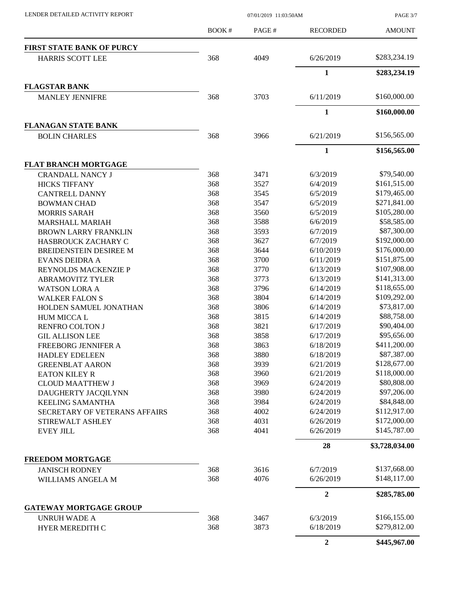PAGE 3/7

|                                                 | <b>BOOK#</b> | PAGE# | <b>RECORDED</b>  | <b>AMOUNT</b>  |
|-------------------------------------------------|--------------|-------|------------------|----------------|
| <b>FIRST STATE BANK OF PURCY</b>                |              |       |                  |                |
| <b>HARRIS SCOTT LEE</b>                         | 368          | 4049  | 6/26/2019        | \$283,234.19   |
|                                                 |              |       | $\mathbf{1}$     | \$283,234.19   |
| <b>FLAGSTAR BANK</b>                            |              |       |                  |                |
| <b>MANLEY JENNIFRE</b>                          | 368          | 3703  | 6/11/2019        | \$160,000.00   |
|                                                 |              |       | 1                | \$160,000.00   |
| <b>FLANAGAN STATE BANK</b>                      |              |       |                  |                |
| <b>BOLIN CHARLES</b>                            | 368          | 3966  | 6/21/2019        | \$156,565.00   |
|                                                 |              |       | $\mathbf{1}$     | \$156,565.00   |
| <b>FLAT BRANCH MORTGAGE</b>                     |              |       |                  |                |
| <b>CRANDALL NANCY J</b>                         | 368          | 3471  | 6/3/2019         | \$79,540.00    |
| <b>HICKS TIFFANY</b>                            | 368          | 3527  | 6/4/2019         | \$161,515.00   |
| <b>CANTRELL DANNY</b>                           | 368          | 3545  | 6/5/2019         | \$179,465.00   |
| <b>BOWMAN CHAD</b>                              | 368          | 3547  | 6/5/2019         | \$271,841.00   |
| MORRIS SARAH                                    | 368          | 3560  | 6/5/2019         | \$105,280.00   |
| <b>MARSHALL MARIAH</b>                          | 368          | 3588  | 6/6/2019         | \$58,585.00    |
| <b>BROWN LARRY FRANKLIN</b>                     | 368          | 3593  | 6/7/2019         | \$87,300.00    |
| HASBROUCK ZACHARY C                             | 368          | 3627  | 6/7/2019         | \$192,000.00   |
| BREIDENSTEIN DESIREE M                          | 368          | 3644  | 6/10/2019        | \$176,000.00   |
| <b>EVANS DEIDRA A</b>                           | 368          | 3700  | 6/11/2019        | \$151,875.00   |
| REYNOLDS MACKENZIE P                            | 368          | 3770  | 6/13/2019        | \$107,908.00   |
| <b>ABRAMOVITZ TYLER</b>                         | 368          | 3773  | 6/13/2019        | \$141,313.00   |
| <b>WATSON LORA A</b>                            | 368          | 3796  | 6/14/2019        | \$118,655.00   |
| <b>WALKER FALON S</b>                           | 368          | 3804  | 6/14/2019        | \$109,292.00   |
| HOLDEN SAMUEL JONATHAN                          | 368          | 3806  | 6/14/2019        | \$73,817.00    |
| HUM MICCA L                                     | 368          | 3815  | 6/14/2019        | \$88,758.00    |
| RENFRO COLTON J                                 | 368          | 3821  | 6/17/2019        | \$90,404.00    |
| <b>GIL ALLISON LEE</b>                          | 368          | 3858  | 6/17/2019        | \$95,656.00    |
| FREEBORG JENNIFER A                             | 368          | 3863  | 6/18/2019        | \$411,200.00   |
|                                                 | 368          | 3880  | 6/18/2019        | \$87,387.00    |
| <b>HADLEY EDELEEN</b><br><b>GREENBLAT AARON</b> | 368          | 3939  | 6/21/2019        | \$128,677.00   |
|                                                 | 368          | 3960  | 6/21/2019        | \$118,000.00   |
| <b>EATON KILEY R</b>                            | 368          | 3969  |                  | \$80,808.00    |
| <b>CLOUD MAATTHEW J</b>                         | 368          | 3980  | 6/24/2019        | \$97,206.00    |
| DAUGHERTY JACQILYNN                             |              |       | 6/24/2019        | \$84,848.00    |
| <b>KEELING SAMANTHA</b>                         | 368          | 3984  | 6/24/2019        |                |
| SECRETARY OF VETERANS AFFAIRS                   | 368          | 4002  | 6/24/2019        | \$112,917.00   |
| STIREWALT ASHLEY                                | 368          | 4031  | 6/26/2019        | \$172,000.00   |
| <b>EVEY JILL</b>                                | 368          | 4041  | 6/26/2019        | \$145,787.00   |
|                                                 |              |       | 28               | \$3,728,034.00 |
| <b>FREEDOM MORTGAGE</b>                         |              |       |                  |                |
| <b>JANISCH RODNEY</b>                           | 368          | 3616  | 6/7/2019         | \$137,668.00   |
| WILLIAMS ANGELA M                               | 368          | 4076  | 6/26/2019        | \$148,117.00   |
|                                                 |              |       | $\boldsymbol{2}$ | \$285,785.00   |
| <b>GATEWAY MORTGAGE GROUP</b>                   |              |       |                  |                |
| <b>UNRUH WADE A</b>                             | 368          | 3467  | 6/3/2019         | \$166,155.00   |
| HYER MEREDITH C                                 | 368          | 3873  | 6/18/2019        | \$279,812.00   |
|                                                 |              |       | $\overline{2}$   | \$445,967.00   |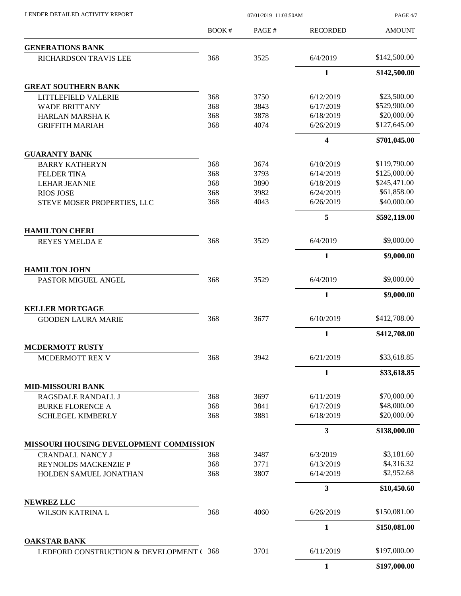LENDER DETAILED ACTIVITY REPORT 07/01/2019 11:03:50AM

PAGE 4/7

|                                                     | BOOK# | PAGE# | <b>RECORDED</b>         | <b>AMOUNT</b> |
|-----------------------------------------------------|-------|-------|-------------------------|---------------|
| <b>GENERATIONS BANK</b>                             |       |       |                         |               |
| RICHARDSON TRAVIS LEE                               | 368   | 3525  | 6/4/2019                | \$142,500.00  |
|                                                     |       |       | 1                       | \$142,500.00  |
| <b>GREAT SOUTHERN BANK</b>                          |       |       |                         |               |
| LITTLEFIELD VALERIE                                 | 368   | 3750  | 6/12/2019               | \$23,500.00   |
| <b>WADE BRITTANY</b>                                | 368   | 3843  | 6/17/2019               | \$529,900.00  |
| HARLAN MARSHA K                                     | 368   | 3878  | 6/18/2019               | \$20,000.00   |
| <b>GRIFFITH MARIAH</b>                              | 368   | 4074  | 6/26/2019               | \$127,645.00  |
|                                                     |       |       | $\overline{\mathbf{4}}$ | \$701,045.00  |
| <b>GUARANTY BANK</b>                                |       |       |                         |               |
| <b>BARRY KATHERYN</b>                               | 368   | 3674  | 6/10/2019               | \$119,790.00  |
| <b>FELDER TINA</b>                                  | 368   | 3793  | 6/14/2019               | \$125,000.00  |
| <b>LEHAR JEANNIE</b>                                | 368   | 3890  | 6/18/2019               | \$245,471.00  |
| <b>RIOS JOSE</b>                                    | 368   | 3982  | 6/24/2019               | \$61,858.00   |
| STEVE MOSER PROPERTIES, LLC                         | 368   | 4043  | 6/26/2019               | \$40,000.00   |
|                                                     |       |       | 5                       | \$592,119.00  |
| <b>HAMILTON CHERI</b>                               |       |       |                         |               |
| <b>REYES YMELDA E</b>                               | 368   | 3529  | 6/4/2019                | \$9,000.00    |
|                                                     |       |       | 1                       | \$9,000.00    |
| <b>HAMILTON JOHN</b>                                |       |       |                         |               |
| PASTOR MIGUEL ANGEL                                 | 368   | 3529  | 6/4/2019                | \$9,000.00    |
|                                                     |       |       | $\mathbf{1}$            | \$9,000.00    |
| <b>KELLER MORTGAGE</b><br><b>GOODEN LAURA MARIE</b> | 368   | 3677  | 6/10/2019               | \$412,708.00  |
|                                                     |       |       | 1                       | \$412,708.00  |
| <b>MCDERMOTT RUSTY</b>                              |       |       |                         |               |
| <b>MCDERMOTT REX V</b>                              | 368   | 3942  | 6/21/2019               | \$33,618.85   |
|                                                     |       |       | 1                       | \$33,618.85   |
| <b>MID-MISSOURI BANK</b>                            |       |       |                         |               |
| RAGSDALE RANDALL J                                  | 368   | 3697  | 6/11/2019               | \$70,000.00   |
| <b>BURKE FLORENCE A</b>                             | 368   | 3841  | 6/17/2019               | \$48,000.00   |
| <b>SCHLEGEL KIMBERLY</b>                            | 368   | 3881  | 6/18/2019               | \$20,000.00   |
|                                                     |       |       | $\overline{\mathbf{3}}$ | \$138,000.00  |
| <b>MISSOURI HOUSING DEVELOPMENT COMMISSION</b>      |       |       |                         |               |
| <b>CRANDALL NANCY J</b>                             | 368   | 3487  | 6/3/2019                | \$3,181.60    |
| REYNOLDS MACKENZIE P                                | 368   | 3771  | 6/13/2019               | \$4,316.32    |
| HOLDEN SAMUEL JONATHAN                              | 368   | 3807  | 6/14/2019               | \$2,952.68    |
|                                                     |       |       | 3                       |               |
| <b>NEWREZ LLC</b>                                   |       |       |                         | \$10,450.60   |
| <b>WILSON KATRINA L</b>                             | 368   | 4060  | 6/26/2019               | \$150,081.00  |
|                                                     |       |       | $\mathbf{1}$            | \$150,081.00  |
| <b>OAKSTAR BANK</b>                                 |       |       |                         |               |
| LEDFORD CONSTRUCTION & DEVELOPMENT ( 368            |       | 3701  | 6/11/2019               | \$197,000.00  |
|                                                     |       |       | $\mathbf{1}$            | \$197,000.00  |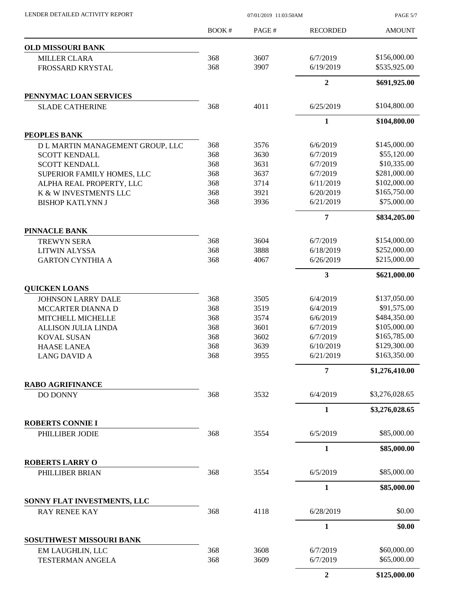PAGE 5/7

|                                           | <b>BOOK#</b> | PAGE# | <b>RECORDED</b> | <b>AMOUNT</b>  |
|-------------------------------------------|--------------|-------|-----------------|----------------|
| <b>OLD MISSOURI BANK</b>                  |              |       |                 |                |
| <b>MILLER CLARA</b>                       | 368          | 3607  | 6/7/2019        | \$156,000.00   |
| FROSSARD KRYSTAL                          | 368          | 3907  | 6/19/2019       | \$535,925.00   |
|                                           |              |       | $\overline{2}$  | \$691,925.00   |
| PENNYMAC LOAN SERVICES                    |              |       |                 |                |
| <b>SLADE CATHERINE</b>                    | 368          | 4011  | 6/25/2019       | \$104,800.00   |
|                                           |              |       | $\mathbf{1}$    | \$104,800.00   |
| PEOPLES BANK                              |              |       |                 |                |
| D L MARTIN MANAGEMENT GROUP, LLC          | 368          | 3576  | 6/6/2019        | \$145,000.00   |
| <b>SCOTT KENDALL</b>                      | 368          | 3630  | 6/7/2019        | \$55,120.00    |
| <b>SCOTT KENDALL</b>                      | 368          | 3631  | 6/7/2019        | \$10,335.00    |
| SUPERIOR FAMILY HOMES, LLC                | 368          | 3637  | 6/7/2019        | \$281,000.00   |
| ALPHA REAL PROPERTY, LLC                  | 368          | 3714  | 6/11/2019       | \$102,000.00   |
| K & W INVESTMENTS LLC                     | 368          | 3921  | 6/20/2019       | \$165,750.00   |
| <b>BISHOP KATLYNN J</b>                   | 368          | 3936  | 6/21/2019       | \$75,000.00    |
|                                           |              |       | $\overline{7}$  | \$834,205.00   |
| <b>PINNACLE BANK</b>                      |              |       |                 |                |
| <b>TREWYN SERA</b>                        | 368          | 3604  | 6/7/2019        | \$154,000.00   |
| <b>LITWIN ALYSSA</b>                      | 368          | 3888  | 6/18/2019       | \$252,000.00   |
| <b>GARTON CYNTHIA A</b>                   | 368          | 4067  | 6/26/2019       | \$215,000.00   |
|                                           |              |       | 3               | \$621,000.00   |
| <b>QUICKEN LOANS</b>                      |              |       |                 |                |
| <b>JOHNSON LARRY DALE</b>                 | 368          | 3505  | 6/4/2019        | \$137,050.00   |
| <b>MCCARTER DIANNA D</b>                  | 368          | 3519  | 6/4/2019        | \$91,575.00    |
| MITCHELL MICHELLE                         | 368          | 3574  | 6/6/2019        | \$484,350.00   |
| <b>ALLISON JULIA LINDA</b>                | 368          | 3601  | 6/7/2019        | \$105,000.00   |
| <b>KOVAL SUSAN</b>                        | 368          | 3602  | 6/7/2019        | \$165,785.00   |
|                                           | 368          | 3639  | 6/10/2019       | \$129,300.00   |
| <b>HAASE LANEA</b><br><b>LANG DAVID A</b> | 368          | 3955  | 6/21/2019       | \$163,350.00   |
|                                           |              |       | $\overline{7}$  | \$1,276,410.00 |
| <b>RABO AGRIFINANCE</b>                   |              |       |                 |                |
| DO DONNY                                  | 368          | 3532  | 6/4/2019        | \$3,276,028.65 |
|                                           |              |       | 1               | \$3,276,028.65 |
| <b>ROBERTS CONNIE I</b>                   |              |       |                 |                |
| PHILLIBER JODIE                           | 368          | 3554  | 6/5/2019        | \$85,000.00    |
|                                           |              |       | $\mathbf{1}$    | \$85,000.00    |
| <b>ROBERTS LARRY O</b><br>PHILLIBER BRIAN | 368          | 3554  | 6/5/2019        | \$85,000.00    |
|                                           |              |       | $\mathbf{1}$    | \$85,000.00    |
| SONNY FLAT INVESTMENTS, LLC               |              |       |                 |                |
| <b>RAY RENEE KAY</b>                      | 368          | 4118  | 6/28/2019       | \$0.00         |
|                                           |              |       | $\mathbf{1}$    | \$0.00         |
| SOSUTHWEST MISSOURI BANK                  |              |       |                 |                |
| EM LAUGHLIN, LLC                          | 368          | 3608  | 6/7/2019        | \$60,000.00    |
| <b>TESTERMAN ANGELA</b>                   | 368          | 3609  | 6/7/2019        | \$65,000.00    |
|                                           |              |       | $\overline{2}$  | \$125,000.00   |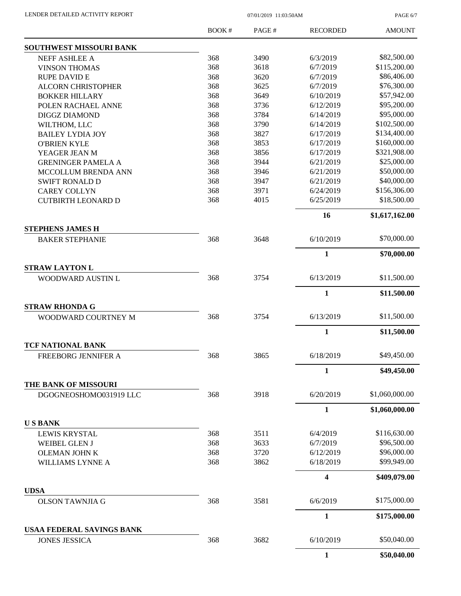PAGE 6/7

|                                  | <b>BOOK#</b> | PAGE# | <b>RECORDED</b>         | <b>AMOUNT</b>  |
|----------------------------------|--------------|-------|-------------------------|----------------|
| <b>SOUTHWEST MISSOURI BANK</b>   |              |       |                         |                |
| NEFF ASHLEE A                    | 368          | 3490  | 6/3/2019                | \$82,500.00    |
| <b>VINSON THOMAS</b>             | 368          | 3618  | 6/7/2019                | \$115,200.00   |
| <b>RUPE DAVID E</b>              | 368          | 3620  | 6/7/2019                | \$86,406.00    |
| <b>ALCORN CHRISTOPHER</b>        | 368          | 3625  | 6/7/2019                | \$76,300.00    |
| <b>BOKKER HILLARY</b>            | 368          | 3649  | 6/10/2019               | \$57,942.00    |
| POLEN RACHAEL ANNE               | 368          | 3736  | 6/12/2019               | \$95,200.00    |
| <b>DIGGZ DIAMOND</b>             | 368          | 3784  | 6/14/2019               | \$95,000.00    |
| WILTHOM, LLC                     | 368          | 3790  | 6/14/2019               | \$102,500.00   |
| <b>BAILEY LYDIA JOY</b>          | 368          | 3827  | 6/17/2019               | \$134,400.00   |
| <b>O'BRIEN KYLE</b>              | 368          | 3853  | 6/17/2019               | \$160,000.00   |
| YEAGER JEAN M                    | 368          | 3856  | 6/17/2019               | \$321,908.00   |
| <b>GRENINGER PAMELA A</b>        | 368          | 3944  | 6/21/2019               | \$25,000.00    |
| MCCOLLUM BRENDA ANN              | 368          | 3946  | 6/21/2019               | \$50,000.00    |
| <b>SWIFT RONALD D</b>            | 368          | 3947  | 6/21/2019               | \$40,000.00    |
| <b>CAREY COLLYN</b>              | 368          | 3971  | 6/24/2019               | \$156,306.00   |
| <b>CUTBIRTH LEONARD D</b>        | 368          | 4015  | 6/25/2019               | \$18,500.00    |
|                                  |              |       | 16                      | \$1,617,162.00 |
| <b>STEPHENS JAMES H</b>          |              |       |                         |                |
| <b>BAKER STEPHANIE</b>           | 368          | 3648  | 6/10/2019               | \$70,000.00    |
|                                  |              |       | 1                       | \$70,000.00    |
| <b>STRAW LAYTON L</b>            |              |       |                         |                |
|                                  |              |       |                         | \$11,500.00    |
| WOODWARD AUSTIN L                | 368          | 3754  | 6/13/2019               |                |
|                                  |              |       | $\mathbf{1}$            | \$11,500.00    |
| <b>STRAW RHONDA G</b>            |              |       |                         |                |
| WOODWARD COURTNEY M              | 368          | 3754  | 6/13/2019               | \$11,500.00    |
|                                  |              |       | $\mathbf{1}$            | \$11,500.00    |
| <b>TCF NATIONAL BANK</b>         |              |       |                         |                |
| <b>FREEBORG JENNIFER A</b>       | 368          | 3865  | 6/18/2019               | \$49,450.00    |
|                                  |              |       | 1                       | \$49,450.00    |
| <b>THE BANK OF MISSOURI</b>      |              |       |                         |                |
| DGOGNEOSHOMO031919 LLC           | 368          | 3918  | 6/20/2019               | \$1,060,000.00 |
|                                  |              |       | $\mathbf{1}$            | \$1,060,000.00 |
| <b>USBANK</b>                    |              |       |                         |                |
| <b>LEWIS KRYSTAL</b>             | 368          | 3511  | 6/4/2019                | \$116,630.00   |
| <b>WEIBEL GLEN J</b>             | 368          | 3633  | 6/7/2019                | \$96,500.00    |
| OLEMAN JOHN K                    | 368          | 3720  | 6/12/2019               | \$96,000.00    |
| <b>WILLIAMS LYNNE A</b>          | 368          | 3862  | 6/18/2019               | \$99,949.00    |
|                                  |              |       | $\overline{\mathbf{4}}$ | \$409,079.00   |
| <b>UDSA</b>                      |              |       |                         |                |
| <b>OLSON TAWNJIA G</b>           | 368          | 3581  | 6/6/2019                | \$175,000.00   |
|                                  |              |       | 1                       | \$175,000.00   |
| <b>USAA FEDERAL SAVINGS BANK</b> |              |       |                         |                |
| <b>JONES JESSICA</b>             | 368          | 3682  | 6/10/2019               | \$50,040.00    |
|                                  |              |       | 1                       | \$50,040.00    |